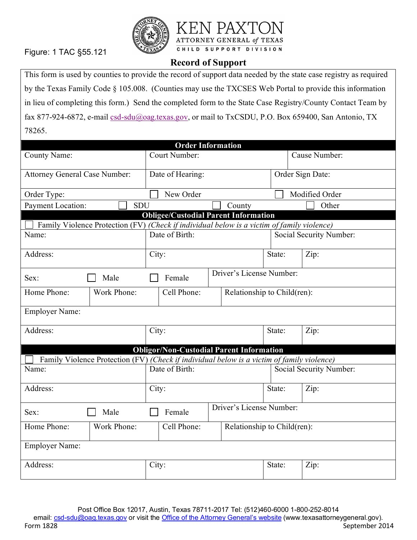Figure: 1 TAC §55.121





## **Record of Support**

This form is used by counties to provide the record of support data needed by the state case registry as required by the Texas Family Code § 105.008. (Counties may use the TXCSES Web Portal to provide this information in lieu of completing this form.) Send the completed form to the State Case Registry/County Contact Team by fax 877-924-6872, e-mail [csd-sdu@oag.texas.gov,](mailto:csd-sdu@oag.texas.gov) or mail to TxCSDU, P.O. Box 659400, San Antonio, TX 78265.

| <b>Order Information</b>                                                                   |                                                                                            |                                    |                                                 |                             |                  |                         |      |                         |
|--------------------------------------------------------------------------------------------|--------------------------------------------------------------------------------------------|------------------------------------|-------------------------------------------------|-----------------------------|------------------|-------------------------|------|-------------------------|
| <b>County Name:</b>                                                                        |                                                                                            | Court Number:                      |                                                 |                             |                  | Cause Number:           |      |                         |
| <b>Attorney General Case Number:</b>                                                       |                                                                                            | Date of Hearing:                   |                                                 |                             | Order Sign Date: |                         |      |                         |
| Order Type:                                                                                |                                                                                            |                                    | New Order                                       |                             |                  | Modified Order          |      |                         |
| Payment Location:<br><b>SDU</b>                                                            |                                                                                            |                                    |                                                 |                             | County           |                         |      | Other                   |
| <b>Obligee/Custodial Parent Information</b>                                                |                                                                                            |                                    |                                                 |                             |                  |                         |      |                         |
|                                                                                            | Family Violence Protection (FV) (Check if individual below is a victim of family violence) |                                    |                                                 |                             |                  |                         |      |                         |
| Name:                                                                                      |                                                                                            |                                    | Date of Birth:                                  |                             |                  | Social Security Number: |      |                         |
| Address:                                                                                   |                                                                                            | City:                              |                                                 |                             | State:           |                         | Zip: |                         |
| Sex:                                                                                       | Male                                                                                       |                                    | Female                                          | Driver's License Number:    |                  |                         |      |                         |
| Home Phone:                                                                                | Work Phone:                                                                                |                                    | Cell Phone:                                     | Relationship to Child(ren): |                  |                         |      |                         |
| <b>Employer Name:</b>                                                                      |                                                                                            |                                    |                                                 |                             |                  |                         |      |                         |
| Address:                                                                                   |                                                                                            |                                    | City:                                           |                             |                  | State:                  |      | Zip:                    |
|                                                                                            |                                                                                            |                                    | <b>Obligor/Non-Custodial Parent Information</b> |                             |                  |                         |      |                         |
| Family Violence Protection (FV) (Check if individual below is a victim of family violence) |                                                                                            |                                    |                                                 |                             |                  |                         |      |                         |
| Name:                                                                                      |                                                                                            |                                    | Date of Birth:                                  |                             |                  |                         |      | Social Security Number: |
| Address:                                                                                   |                                                                                            | City:                              |                                                 |                             |                  | State:                  |      | Zip:                    |
| Sex:                                                                                       | Male                                                                                       | Driver's License Number:<br>Female |                                                 |                             |                  |                         |      |                         |
| Home Phone:                                                                                | Work Phone:                                                                                |                                    | Cell Phone:                                     | Relationship to Child(ren): |                  |                         |      |                         |
| <b>Employer Name:</b>                                                                      |                                                                                            |                                    |                                                 |                             |                  |                         |      |                         |
| Address:                                                                                   |                                                                                            |                                    | City:                                           |                             |                  | State:                  |      | Zip:                    |